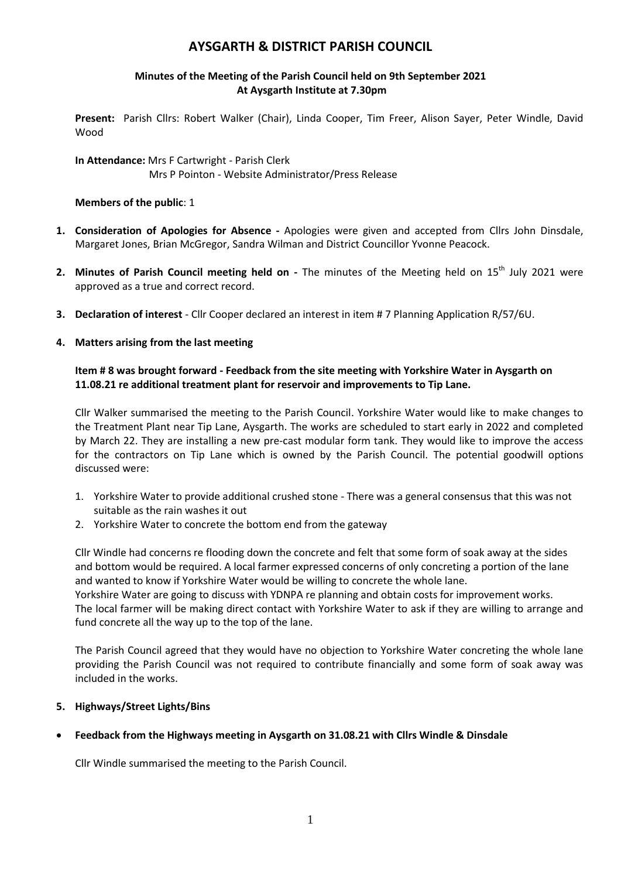# **AYSGARTH & DISTRICT PARISH COUNCIL**

#### **Minutes of the Meeting of the Parish Council held on 9th September 2021 At Aysgarth Institute at 7.30pm**

**Present:** Parish Cllrs: Robert Walker (Chair), Linda Cooper, Tim Freer, Alison Sayer, Peter Windle, David Wood

**In Attendance:** Mrs F Cartwright - Parish Clerk Mrs P Pointon - Website Administrator/Press Release

#### **Members of the public**: 1

- **1. Consideration of Apologies for Absence -** Apologies were given and accepted from Cllrs John Dinsdale, Margaret Jones, Brian McGregor, Sandra Wilman and District Councillor Yvonne Peacock.
- 2. Minutes of Parish Council meeting held on The minutes of the Meeting held on 15<sup>th</sup> July 2021 were approved as a true and correct record.
- **3. Declaration of interest** Cllr Cooper declared an interest in item # 7 Planning Application R/57/6U.
- **4. Matters arising from the last meeting**

#### **Item # 8 was brought forward - Feedback from the site meeting with Yorkshire Water in Aysgarth on 11.08.21 re additional treatment plant for reservoir and improvements to Tip Lane.**

Cllr Walker summarised the meeting to the Parish Council. Yorkshire Water would like to make changes to the Treatment Plant near Tip Lane, Aysgarth. The works are scheduled to start early in 2022 and completed by March 22. They are installing a new pre-cast modular form tank. They would like to improve the access for the contractors on Tip Lane which is owned by the Parish Council. The potential goodwill options discussed were:

- 1. Yorkshire Water to provide additional crushed stone There was a general consensus that this was not suitable as the rain washes it out
- 2. Yorkshire Water to concrete the bottom end from the gateway

Cllr Windle had concerns re flooding down the concrete and felt that some form of soak away at the sides and bottom would be required. A local farmer expressed concerns of only concreting a portion of the lane and wanted to know if Yorkshire Water would be willing to concrete the whole lane. Yorkshire Water are going to discuss with YDNPA re planning and obtain costs for improvement works.

The local farmer will be making direct contact with Yorkshire Water to ask if they are willing to arrange and fund concrete all the way up to the top of the lane.

The Parish Council agreed that they would have no objection to Yorkshire Water concreting the whole lane providing the Parish Council was not required to contribute financially and some form of soak away was included in the works.

## **5. Highways/Street Lights/Bins**

## **Feedback from the Highways meeting in Aysgarth on 31.08.21 with Cllrs Windle & Dinsdale**

Cllr Windle summarised the meeting to the Parish Council.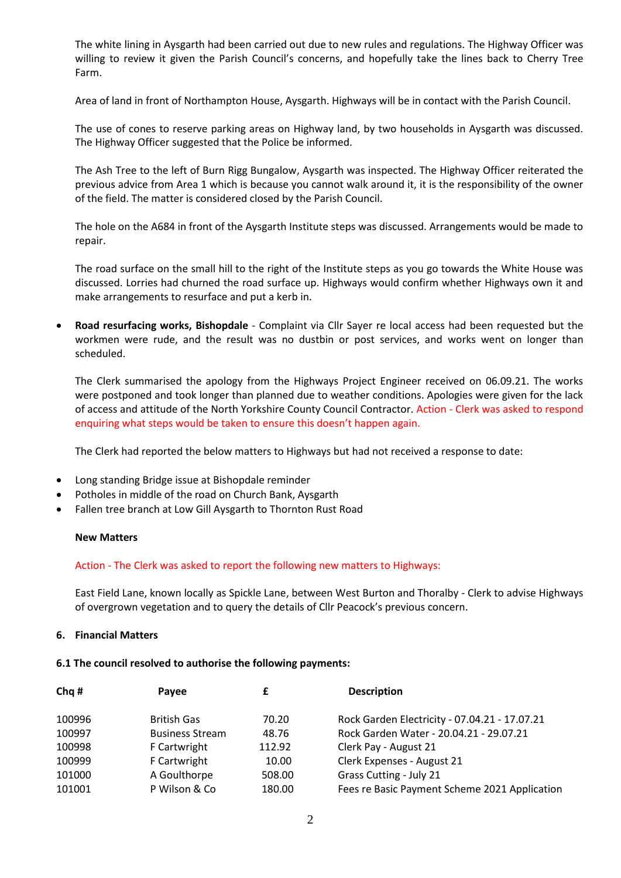The white lining in Aysgarth had been carried out due to new rules and regulations. The Highway Officer was willing to review it given the Parish Council's concerns, and hopefully take the lines back to Cherry Tree Farm.

Area of land in front of Northampton House, Aysgarth. Highways will be in contact with the Parish Council.

The use of cones to reserve parking areas on Highway land, by two households in Aysgarth was discussed. The Highway Officer suggested that the Police be informed.

The Ash Tree to the left of Burn Rigg Bungalow, Aysgarth was inspected. The Highway Officer reiterated the previous advice from Area 1 which is because you cannot walk around it, it is the responsibility of the owner of the field. The matter is considered closed by the Parish Council.

The hole on the A684 in front of the Aysgarth Institute steps was discussed. Arrangements would be made to repair.

The road surface on the small hill to the right of the Institute steps as you go towards the White House was discussed. Lorries had churned the road surface up. Highways would confirm whether Highways own it and make arrangements to resurface and put a kerb in.

 **Road resurfacing works, Bishopdale** - Complaint via Cllr Sayer re local access had been requested but the workmen were rude, and the result was no dustbin or post services, and works went on longer than scheduled.

The Clerk summarised the apology from the Highways Project Engineer received on 06.09.21. The works were postponed and took longer than planned due to weather conditions. Apologies were given for the lack of access and attitude of the North Yorkshire County Council Contractor. Action - Clerk was asked to respond enquiring what steps would be taken to ensure this doesn't happen again.

The Clerk had reported the below matters to Highways but had not received a response to date:

- Long standing Bridge issue at Bishopdale reminder
- Potholes in middle of the road on Church Bank, Aysgarth
- Fallen tree branch at Low Gill Aysgarth to Thornton Rust Road

#### **New Matters**

#### Action - The Clerk was asked to report the following new matters to Highways:

East Field Lane, known locally as Spickle Lane, between West Burton and Thoralby - Clerk to advise Highways of overgrown vegetation and to query the details of Cllr Peacock's previous concern.

#### **6. Financial Matters**

#### **6.1 The council resolved to authorise the following payments:**

| Chq#   | Payee                  |        | <b>Description</b>                            |
|--------|------------------------|--------|-----------------------------------------------|
| 100996 | <b>British Gas</b>     | 70.20  | Rock Garden Electricity - 07.04.21 - 17.07.21 |
| 100997 | <b>Business Stream</b> | 48.76  | Rock Garden Water - 20.04.21 - 29.07.21       |
| 100998 | F Cartwright           | 112.92 | Clerk Pay - August 21                         |
| 100999 | F Cartwright           | 10.00  | Clerk Expenses - August 21                    |
| 101000 | A Goulthorpe           | 508.00 | Grass Cutting - July 21                       |
| 101001 | P Wilson & Co          | 180.00 | Fees re Basic Payment Scheme 2021 Application |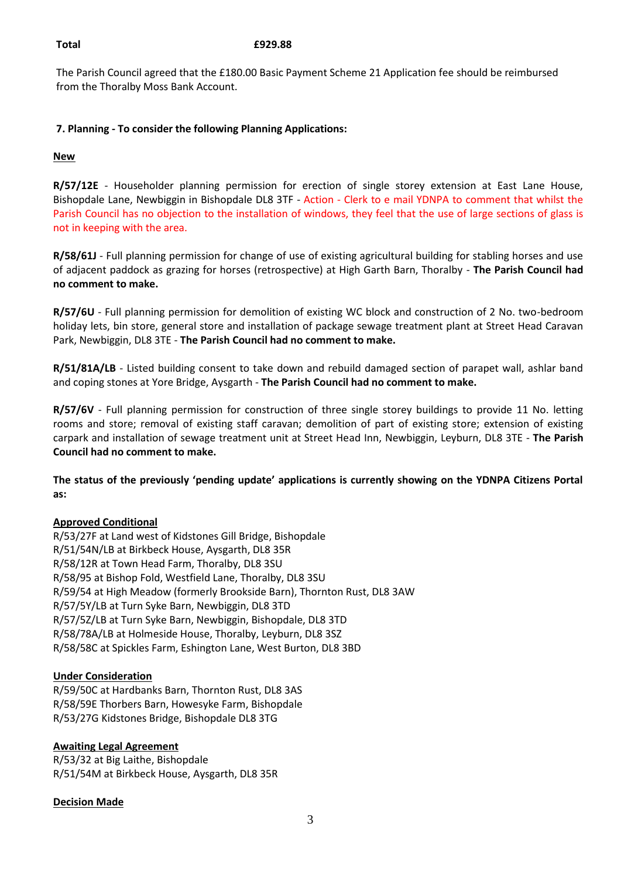#### **Total £929.88**

The Parish Council agreed that the £180.00 Basic Payment Scheme 21 Application fee should be reimbursed from the Thoralby Moss Bank Account.

## **7. Planning - To consider the following Planning Applications:**

#### **New**

**R/57/12E** - Householder planning permission for erection of single storey extension at East Lane House, Bishopdale Lane, Newbiggin in Bishopdale DL8 3TF - Action - Clerk to e mail YDNPA to comment that whilst the Parish Council has no objection to the installation of windows, they feel that the use of large sections of glass is not in keeping with the area.

**R/58/61J** - Full planning permission for change of use of existing agricultural building for stabling horses and use of adjacent paddock as grazing for horses (retrospective) at High Garth Barn, Thoralby - **The Parish Council had no comment to make.**

**R/57/6U** - Full planning permission for demolition of existing WC block and construction of 2 No. two-bedroom holiday lets, bin store, general store and installation of package sewage treatment plant at Street Head Caravan Park, Newbiggin, DL8 3TE - **The Parish Council had no comment to make.**

**R/51/81A/LB** - Listed building consent to take down and rebuild damaged section of parapet wall, ashlar band and coping stones at Yore Bridge, Aysgarth - **The Parish Council had no comment to make.**

**R/57/6V** - Full planning permission for construction of three single storey buildings to provide 11 No. letting rooms and store; removal of existing staff caravan; demolition of part of existing store; extension of existing carpark and installation of sewage treatment unit at Street Head Inn, Newbiggin, Leyburn, DL8 3TE - **The Parish Council had no comment to make.**

**The status of the previously 'pending update' applications is currently showing on the YDNPA Citizens Portal as:**

## **Approved Conditional**

R/53/27F at Land west of Kidstones Gill Bridge, Bishopdale R/51/54N/LB at Birkbeck House, Aysgarth, DL8 35R R/58/12R at Town Head Farm, Thoralby, DL8 3SU R/58/95 at Bishop Fold, Westfield Lane, Thoralby, DL8 3SU R/59/54 at High Meadow (formerly Brookside Barn), Thornton Rust, DL8 3AW R/57/5Y/LB at Turn Syke Barn, Newbiggin, DL8 3TD R/57/5Z/LB at Turn Syke Barn, Newbiggin, Bishopdale, DL8 3TD R/58/78A/LB at Holmeside House, Thoralby, Leyburn, DL8 3SZ R/58/58C at Spickles Farm, Eshington Lane, West Burton, DL8 3BD

## **Under Consideration**

R/59/50C at Hardbanks Barn, Thornton Rust, DL8 3AS R/58/59E Thorbers Barn, Howesyke Farm, Bishopdale R/53/27G Kidstones Bridge, Bishopdale DL8 3TG

## **Awaiting Legal Agreement**

R/53/32 at Big Laithe, Bishopdale R/51/54M at Birkbeck House, Aysgarth, DL8 35R

#### **Decision Made**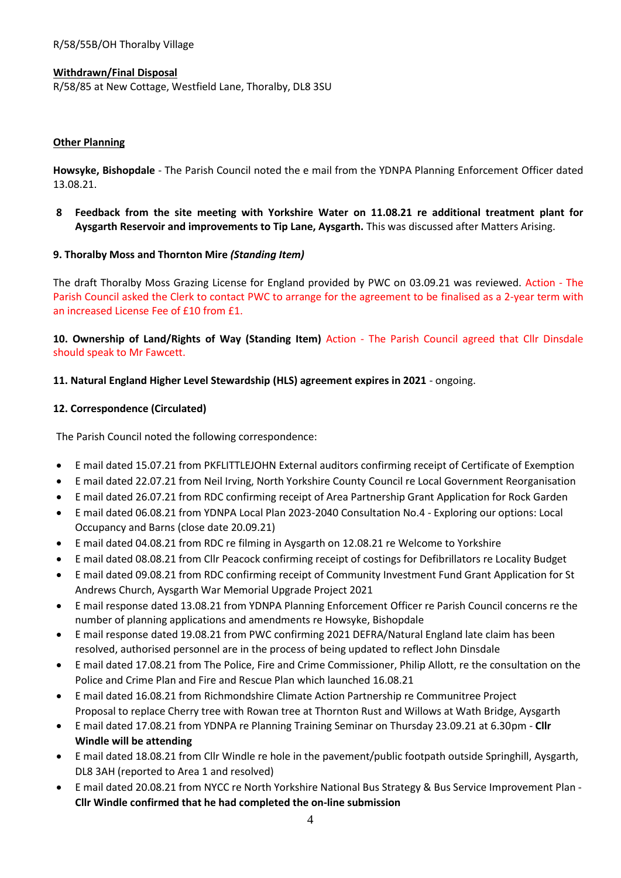#### **Withdrawn/Final Disposal**

R/58/85 at New Cottage, Westfield Lane, Thoralby, DL8 3SU

#### **Other Planning**

**Howsyke, Bishopdale** - The Parish Council noted the e mail from the YDNPA Planning Enforcement Officer dated 13.08.21.

**8 Feedback from the site meeting with Yorkshire Water on 11.08.21 re additional treatment plant for Aysgarth Reservoir and improvements to Tip Lane, Aysgarth.** This was discussed after Matters Arising.

#### **9. Thoralby Moss and Thornton Mire** *(Standing Item)*

The draft Thoralby Moss Grazing License for England provided by PWC on 03.09.21 was reviewed. Action - The Parish Council asked the Clerk to contact PWC to arrange for the agreement to be finalised as a 2-year term with an increased License Fee of £10 from £1.

**10. Ownership of Land/Rights of Way (Standing Item)** Action - The Parish Council agreed that Cllr Dinsdale should speak to Mr Fawcett.

#### **11. Natural England Higher Level Stewardship (HLS) agreement expires in 2021** - ongoing.

#### **12. Correspondence (Circulated)**

The Parish Council noted the following correspondence:

- E mail dated 15.07.21 from PKFLITTLEJOHN External auditors confirming receipt of Certificate of Exemption
- E mail dated 22.07.21 from Neil Irving, North Yorkshire County Council re Local Government Reorganisation
- E mail dated 26.07.21 from RDC confirming receipt of Area Partnership Grant Application for Rock Garden
- E mail dated 06.08.21 from YDNPA Local Plan 2023-2040 Consultation No.4 Exploring our options: Local Occupancy and Barns (close date 20.09.21)
- E mail dated 04.08.21 from RDC re filming in Aysgarth on 12.08.21 re Welcome to Yorkshire
- E mail dated 08.08.21 from Cllr Peacock confirming receipt of costings for Defibrillators re Locality Budget
- E mail dated 09.08.21 from RDC confirming receipt of Community Investment Fund Grant Application for St Andrews Church, Aysgarth War Memorial Upgrade Project 2021
- E mail response dated 13.08.21 from YDNPA Planning Enforcement Officer re Parish Council concerns re the number of planning applications and amendments re Howsyke, Bishopdale
- E mail response dated 19.08.21 from PWC confirming 2021 DEFRA/Natural England late claim has been resolved, authorised personnel are in the process of being updated to reflect John Dinsdale
- E mail dated 17.08.21 from The Police, Fire and Crime Commissioner, Philip Allott, re the consultation on the Police and Crime Plan and Fire and Rescue Plan which launched 16.08.21
- E mail dated 16.08.21 from Richmondshire Climate Action Partnership re Communitree Project Proposal to replace Cherry tree with Rowan tree at Thornton Rust and Willows at Wath Bridge, Aysgarth
- E mail dated 17.08.21 from YDNPA re Planning Training Seminar on Thursday 23.09.21 at 6.30pm **Cllr Windle will be attending**
- E mail dated 18.08.21 from Cllr Windle re hole in the pavement/public footpath outside Springhill, Aysgarth, DL8 3AH (reported to Area 1 and resolved)
- E mail dated 20.08.21 from NYCC re North Yorkshire National Bus Strategy & Bus Service Improvement Plan **Cllr Windle confirmed that he had completed the on-line submission**